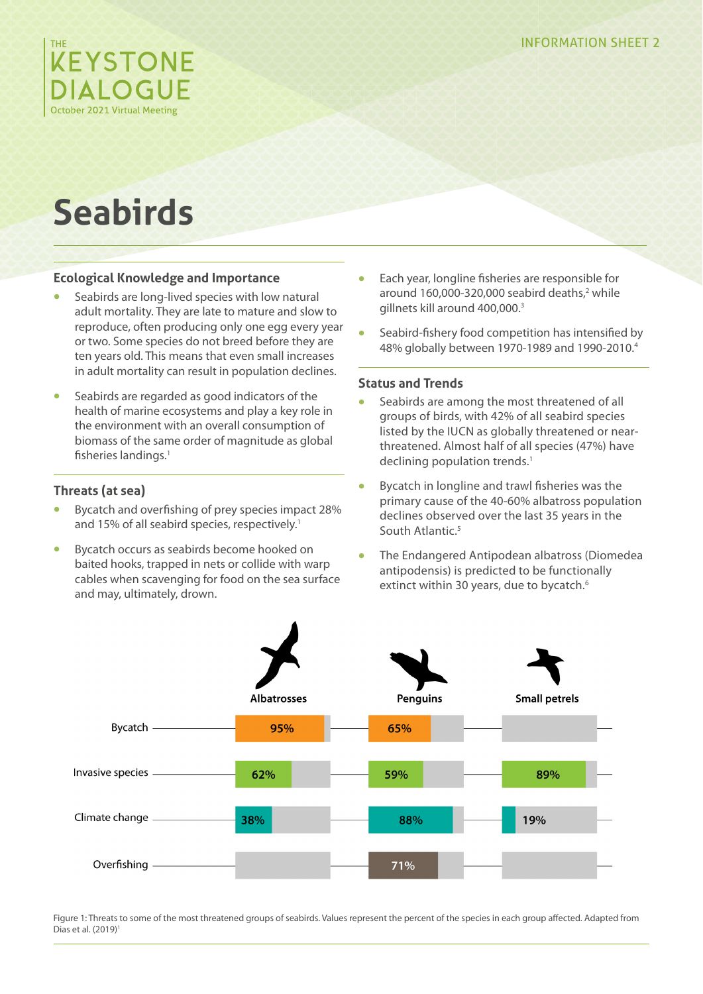

# **Seabirds**

## **Ecological Knowledge and Importance**

- **•** Seabirds are long-lived species with low natural adult mortality. They are late to mature and slow to reproduce, often producing only one egg every year or two. Some species do not breed before they are ten years old. This means that even small increases in adult mortality can result in population declines.
- **•** Seabirds are regarded as good indicators of the health of marine ecosystems and play a key role in the environment with an overall consumption of biomass of the same order of magnitude as global fisheries landings.<sup>1</sup>

## **Threats (at sea)**

- **•** Bycatch and overfishing of prey species impact 28% and 15% of all seabird species, respectively.<sup>1</sup>
- **•** Bycatch occurs as seabirds become hooked on baited hooks, trapped in nets or collide with warp cables when scavenging for food on the sea surface and may, ultimately, drown.
- **•** Each year, longline fisheries are responsible for around 160,000-320,000 seabird deaths,<sup>2</sup> while gillnets kill around 400,000.3
- **•** Seabird-fishery food competition has intensified by 48% globally between 1970-1989 and 1990-2010.4

### **Status and Trends**

- **•** Seabirds are among the most threatened of all groups of birds, with 42% of all seabird species listed by the IUCN as globally threatened or nearthreatened. Almost half of all species (47%) have declining population trends.<sup>1</sup>
- **•** Bycatch in longline and trawl fisheries was the primary cause of the 40-60% albatross population declines observed over the last 35 years in the South Atlantic.<sup>5</sup>
- **•** The Endangered Antipodean albatross (Diomedea antipodensis) is predicted to be functionally extinct within 30 years, due to bycatch.<sup>6</sup>



Figure 1: Threats to some of the most threatened groups of seabirds. Values represent the percent of the species in each group affected. Adapted from Dias et al. (2019)<sup>1</sup>